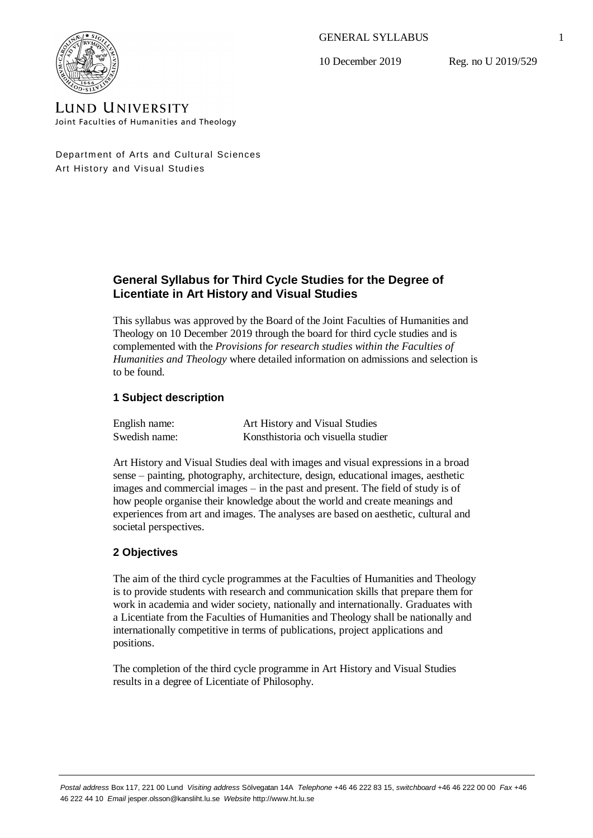GENERAL SYLLABUS

10 December 2019

Reg. no U 2019/529



**LUND UNIVERSITY** Joint Faculties of Humanities and Theology

Department of Arts and Cultural Sciences Art History and Visual Studies

# **General Syllabus for Third Cycle Studies for the Degree of Licentiate in Art History and Visual Studies**

This syllabus was approved by the Board of the Joint Faculties of Humanities and Theology on 10 December 2019 through the board for third cycle studies and is complemented with the *Provisions for research studies within the Faculties of Humanities and Theology* where detailed information on admissions and selection is to be found.

## **1 Subject description**

| English name: | Art History and Visual Studies     |
|---------------|------------------------------------|
| Swedish name: | Konsthistoria och visuella studier |

Art History and Visual Studies deal with images and visual expressions in a broad sense – painting, photography, architecture, design, educational images, aesthetic images and commercial images  $-$  in the past and present. The field of study is of how people organise their knowledge about the world and create meanings and experiences from art and images. The analyses are based on aesthetic, cultural and societal perspectives.

# **2 Objectives**

The aim of the third cycle programmes at the Faculties of Humanities and Theology is to provide students with research and communication skills that prepare them for work in academia and wider society, nationally and internationally. Graduates with a Licentiate from the Faculties of Humanities and Theology shall be nationally and internationally competitive in terms of publications, project applications and positions.

The completion of the third cycle programme in Art History and Visual Studies results in a degree of Licentiate of Philosophy.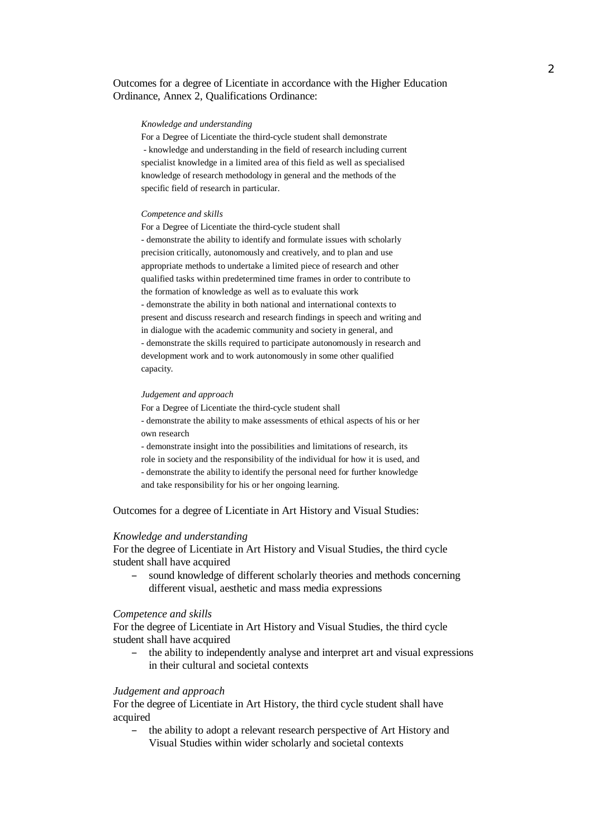## Outcomes for a degree of Licentiate in accordance with the Higher Education Ordinance, Annex 2, Qualifications Ordinance:

### *Knowledge and understanding*

For a Degree of Licentiate the third-cycle student shall demonstrate - knowledge and understanding in the field of research including current specialist knowledge in a limited area of this field as well as specialised knowledge of research methodology in general and the methods of the specific field of research in particular.

### *Competence and skills*

For a Degree of Licentiate the third-cycle student shall - demonstrate the ability to identify and formulate issues with scholarly precision critically, autonomously and creatively, and to plan and use appropriate methods to undertake a limited piece of research and other qualified tasks within predetermined time frames in order to contribute to the formation of knowledge as well as to evaluate this work - demonstrate the ability in both national and international contexts to present and discuss research and research findings in speech and writing and in dialogue with the academic community and society in general, and - demonstrate the skills required to participate autonomously in research and development work and to work autonomously in some other qualified capacity.

#### *Judgement and approach*

For a Degree of Licentiate the third-cycle student shall

- demonstrate the ability to make assessments of ethical aspects of his or her own research

- demonstrate insight into the possibilities and limitations of research, its role in society and the responsibility of the individual for how it is used, and - demonstrate the ability to identify the personal need for further knowledge and take responsibility for his or her ongoing learning.

Outcomes for a degree of Licentiate in Art History and Visual Studies:

#### *Knowledge and understanding*

For the degree of Licentiate in Art History and Visual Studies, the third cycle student shall have acquired

– sound knowledge of different scholarly theories and methods concerning different visual, aesthetic and mass media expressions

### *Competence and skills*

For the degree of Licentiate in Art History and Visual Studies, the third cycle student shall have acquired

– the ability to independently analyse and interpret art and visual expressions in their cultural and societal contexts

### *Judgement and approach*

For the degree of Licentiate in Art History, the third cycle student shall have acquired

– the ability to adopt a relevant research perspective of Art History and Visual Studies within wider scholarly and societal contexts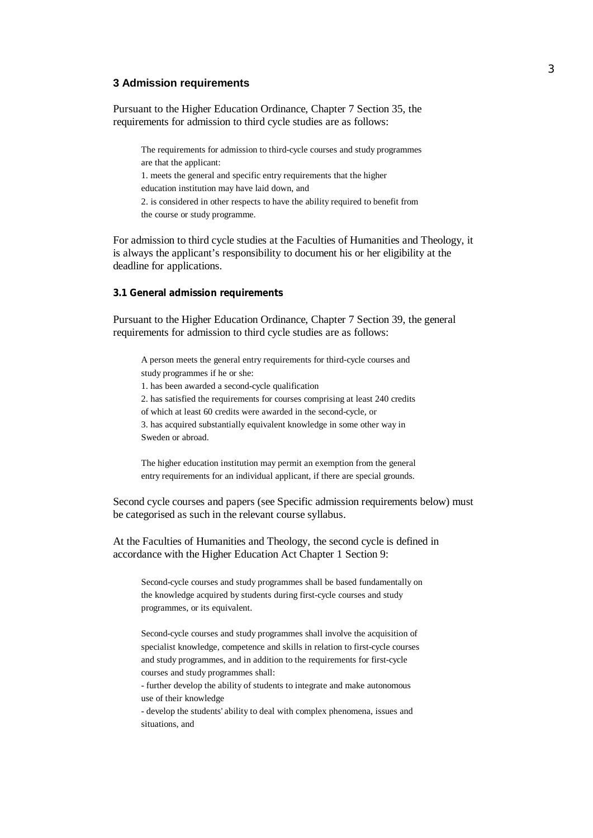## **3 Admission requirements**

Pursuant to the Higher Education Ordinance, Chapter 7 Section 35, the requirements for admission to third cycle studies are as follows:

The requirements for admission to third-cycle courses and study programmes are that the applicant: 1. meets the general and specific entry requirements that the higher education institution may have laid down, and 2. is considered in other respects to have the ability required to benefit from the course or study programme.

For admission to third cycle studies at the Faculties of Humanities and Theology, it is always the applicant's responsibility to document his or her eligibility at the deadline for applications.

**3.1 General admission requirements**

Pursuant to the Higher Education Ordinance, Chapter 7 Section 39, the general requirements for admission to third cycle studies are as follows:

A person meets the general entry requirements for third-cycle courses and study programmes if he or she:

1. has been awarded a second-cycle qualification

2. has satisfied the requirements for courses comprising at least 240 credits

of which at least 60 credits were awarded in the second-cycle, or

3. has acquired substantially equivalent knowledge in some other way in Sweden or abroad.

The higher education institution may permit an exemption from the general entry requirements for an individual applicant, if there are special grounds.

Second cycle courses and papers (see Specific admission requirements below) must be categorised as such in the relevant course syllabus.

At the Faculties of Humanities and Theology, the second cycle is defined in accordance with the Higher Education Act Chapter 1 Section 9:

Second-cycle courses and study programmes shall be based fundamentally on the knowledge acquired by students during first-cycle courses and study programmes, or its equivalent.

Second-cycle courses and study programmes shall involve the acquisition of specialist knowledge, competence and skills in relation to first-cycle courses and study programmes, and in addition to the requirements for first-cycle courses and study programmes shall:

- further develop the ability of students to integrate and make autonomous use of their knowledge

- develop the students' ability to deal with complex phenomena, issues and situations, and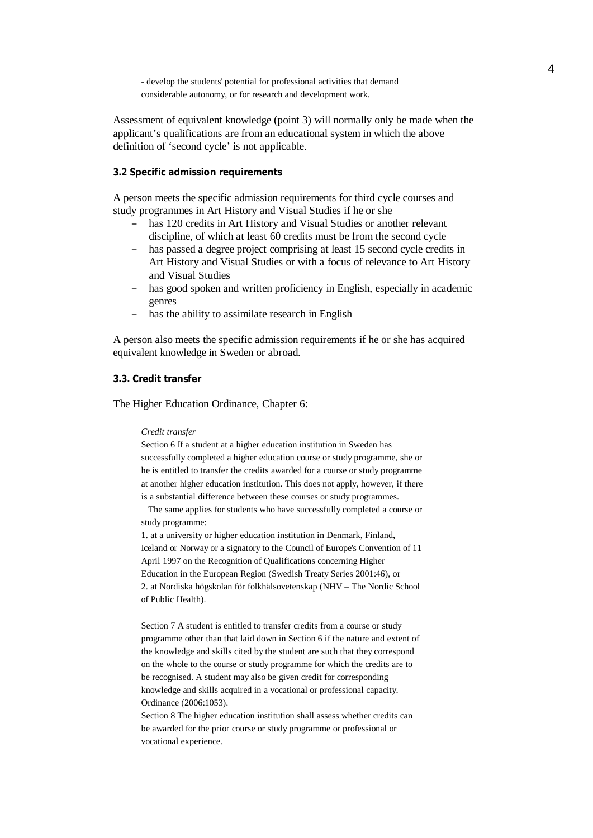- develop the students' potential for professional activities that demand considerable autonomy, or for research and development work.

Assessment of equivalent knowledge (point 3) will normally only be made when the applicant's qualifications are from an educational system in which the above definition of 'second cycle' is not applicable.

### **3.2 Specific admission requirements**

A person meets the specific admission requirements for third cycle courses and study programmes in Art History and Visual Studies if he or she

- has 120 credits in Art History and Visual Studies or another relevant discipline, of which at least 60 credits must be from the second cycle
- has passed a degree project comprising at least 15 second cycle credits in Art History and Visual Studies or with a focus of relevance to Art History and Visual Studies
- has good spoken and written proficiency in English, especially in academic genres
- has the ability to assimilate research in English

A person also meets the specific admission requirements if he or she has acquired equivalent knowledge in Sweden or abroad.

### **3.3. Credit transfer**

The Higher Education Ordinance, Chapter 6:

#### *Credit transfer*

Section 6 If a student at a higher education institution in Sweden has successfully completed a higher education course or study programme, she or he is entitled to transfer the credits awarded for a course or study programme at another higher education institution. This does not apply, however, if there is a substantial difference between these courses or study programmes.

 The same applies for students who have successfully completed a course or study programme:

1. at a university or higher education institution in Denmark, Finland, Iceland or Norway or a signatory to the Council of Europe's Convention of 11 April 1997 on the Recognition of Qualifications concerning Higher Education in the European Region (Swedish Treaty Series 2001:46), or 2. at Nordiska högskolan för folkhälsovetenskap (NHV – The Nordic School of Public Health).

Section 7 A student is entitled to transfer credits from a course or study programme other than that laid down in Section 6 if the nature and extent of the knowledge and skills cited by the student are such that they correspond on the whole to the course or study programme for which the credits are to be recognised. A student may also be given credit for corresponding knowledge and skills acquired in a vocational or professional capacity. Ordinance (2006:1053).

Section 8 The higher education institution shall assess whether credits can be awarded for the prior course or study programme or professional or vocational experience.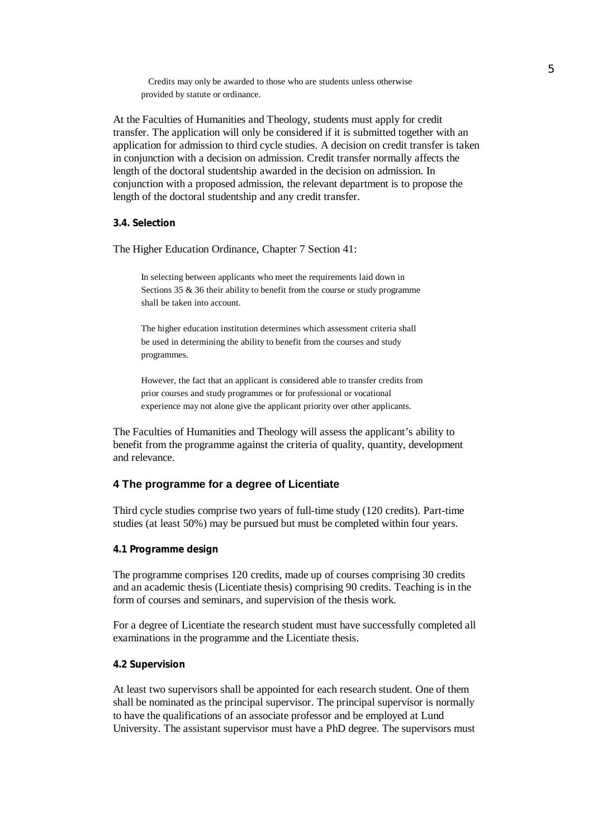Credits may only be awarded to those who are students unless otherwise provided by statute or ordinance.

At the Faculties of Humanities and Theology, students must apply for credit transfer. The application will only be considered if it is submitted together with an application for admission to third cycle studies. A decision on credit transfer is taken in conjunction with a decision on admission. Credit transfer normally affects the length of the doctoral studentship awarded in the decision on admission. In conjunction with a proposed admission, the relevant department is to propose the length of the doctoral studentship and any credit transfer.

**3.4. Selection**

The Higher Education Ordinance, Chapter 7 Section 41:

In selecting between applicants who meet the requirements laid down in Sections  $35 \& 36$  their ability to benefit from the course or study programme shall be taken into account.

The higher education institution determines which assessment criteria shall be used in determining the ability to benefit from the courses and study programmes.

However, the fact that an applicant is considered able to transfer credits from prior courses and study programmes or for professional or vocational experience may not alone give the applicant priority over other applicants.

The Faculties of Humanities and Theology will assess the applicant's ability to benefit from the programme against the criteria of quality, quantity, development and relevance.

## **4 The programme for a degree of Licentiate**

Third cycle studies comprise two years of full-time study (120 credits). Part-time studies (at least 50%) may be pursued but must be completed within four years.

### **4.1 Programme design**

The programme comprises 120 credits, made up of courses comprising 30 credits and an academic thesis (Licentiate thesis) comprising 90 credits. Teaching is in the form of courses and seminars, and supervision of the thesis work.

For a degree of Licentiate the research student must have successfully completed all examinations in the programme and the Licentiate thesis.

#### **4.2 Supervision**

At least two supervisors shall be appointed for each research student. One of them shall be nominated as the principal supervisor. The principal supervisor is normally to have the qualifications of an associate professor and be employed at Lund University. The assistant supervisor must have a PhD degree. The supervisors must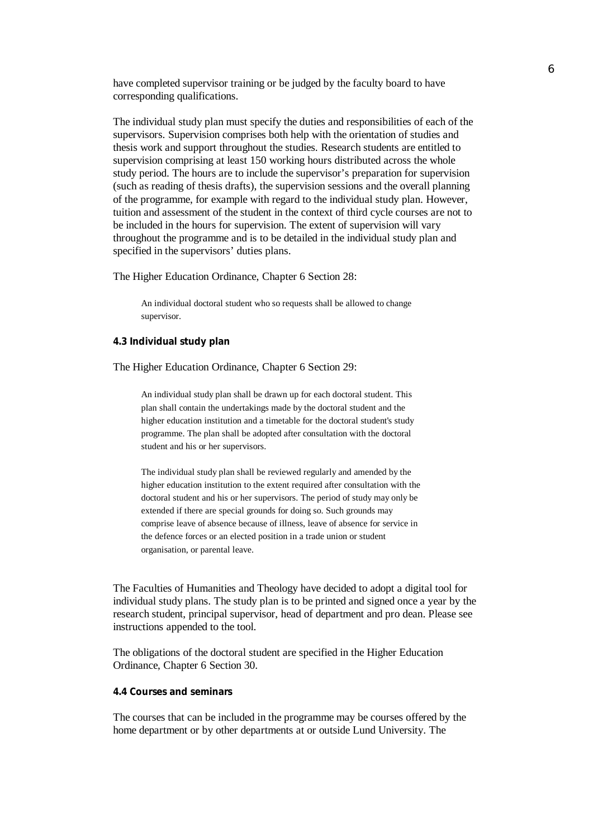have completed supervisor training or be judged by the faculty board to have corresponding qualifications.

The individual study plan must specify the duties and responsibilities of each of the supervisors. Supervision comprises both help with the orientation of studies and thesis work and support throughout the studies. Research students are entitled to supervision comprising at least 150 working hours distributed across the whole study period. The hours are to include the supervisor's preparation for supervision (such as reading of thesis drafts), the supervision sessions and the overall planning of the programme, for example with regard to the individual study plan. However, tuition and assessment of the student in the context of third cycle courses are not to be included in the hours for supervision. The extent of supervision will vary throughout the programme and is to be detailed in the individual study plan and specified in the supervisors' duties plans.

The Higher Education Ordinance, Chapter 6 Section 28:

An individual doctoral student who so requests shall be allowed to change supervisor.

**4.3 Individual study plan**

The Higher Education Ordinance, Chapter 6 Section 29:

An individual study plan shall be drawn up for each doctoral student. This plan shall contain the undertakings made by the doctoral student and the higher education institution and a timetable for the doctoral student's study programme. The plan shall be adopted after consultation with the doctoral student and his or her supervisors.

The individual study plan shall be reviewed regularly and amended by the higher education institution to the extent required after consultation with the doctoral student and his or her supervisors. The period of study may only be extended if there are special grounds for doing so. Such grounds may comprise leave of absence because of illness, leave of absence for service in the defence forces or an elected position in a trade union or student organisation, or parental leave.

The Faculties of Humanities and Theology have decided to adopt a digital tool for individual study plans. The study plan is to be printed and signed once a year by the research student, principal supervisor, head of department and pro dean. Please see instructions appended to the tool.

The obligations of the doctoral student are specified in the Higher Education Ordinance, Chapter 6 Section 30.

## **4.4 Courses and seminars**

The courses that can be included in the programme may be courses offered by the home department or by other departments at or outside Lund University. The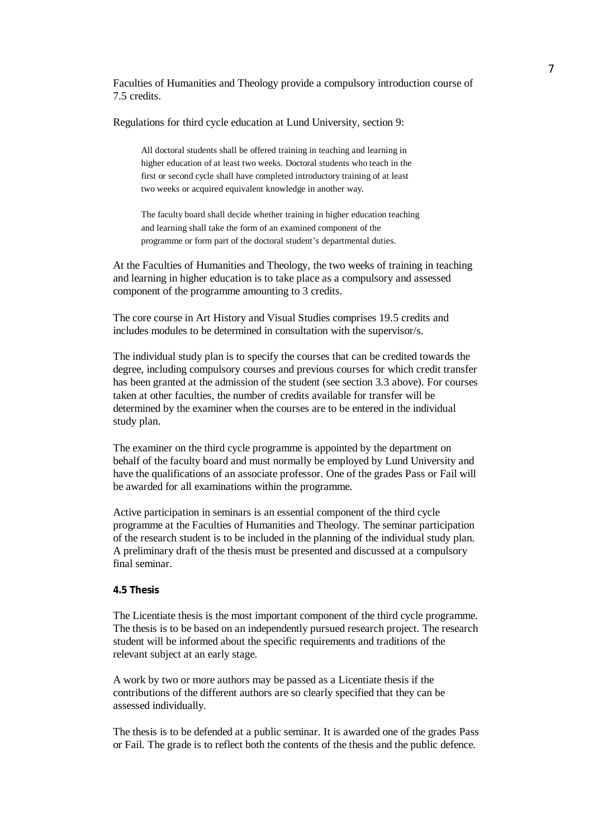Faculties of Humanities and Theology provide a compulsory introduction course of 7.5 credits.

Regulations for third cycle education at Lund University, section 9:

All doctoral students shall be offered training in teaching and learning in higher education of at least two weeks. Doctoral students who teach in the first or second cycle shall have completed introductory training of at least two weeks or acquired equivalent knowledge in another way.

The faculty board shall decide whether training in higher education teaching and learning shall take the form of an examined component of the programme or form part of the doctoral student's departmental duties.

At the Faculties of Humanities and Theology, the two weeks of training in teaching and learning in higher education is to take place as a compulsory and assessed component of the programme amounting to 3 credits.

The core course in Art History and Visual Studies comprises 19.5 credits and includes modules to be determined in consultation with the supervisor/s.

The individual study plan is to specify the courses that can be credited towards the degree, including compulsory courses and previous courses for which credit transfer has been granted at the admission of the student (see section 3.3 above). For courses taken at other faculties, the number of credits available for transfer will be determined by the examiner when the courses are to be entered in the individual study plan.

The examiner on the third cycle programme is appointed by the department on behalf of the faculty board and must normally be employed by Lund University and have the qualifications of an associate professor. One of the grades Pass or Fail will be awarded for all examinations within the programme.

Active participation in seminars is an essential component of the third cycle programme at the Faculties of Humanities and Theology. The seminar participation of the research student is to be included in the planning of the individual study plan. A preliminary draft of the thesis must be presented and discussed at a compulsory final seminar.

### **4.5 Thesis**

The Licentiate thesis is the most important component of the third cycle programme. The thesis is to be based on an independently pursued research project. The research student will be informed about the specific requirements and traditions of the relevant subject at an early stage.

A work by two or more authors may be passed as a Licentiate thesis if the contributions of the different authors are so clearly specified that they can be assessed individually.

The thesis is to be defended at a public seminar. It is awarded one of the grades Pass or Fail. The grade is to reflect both the contents of the thesis and the public defence.